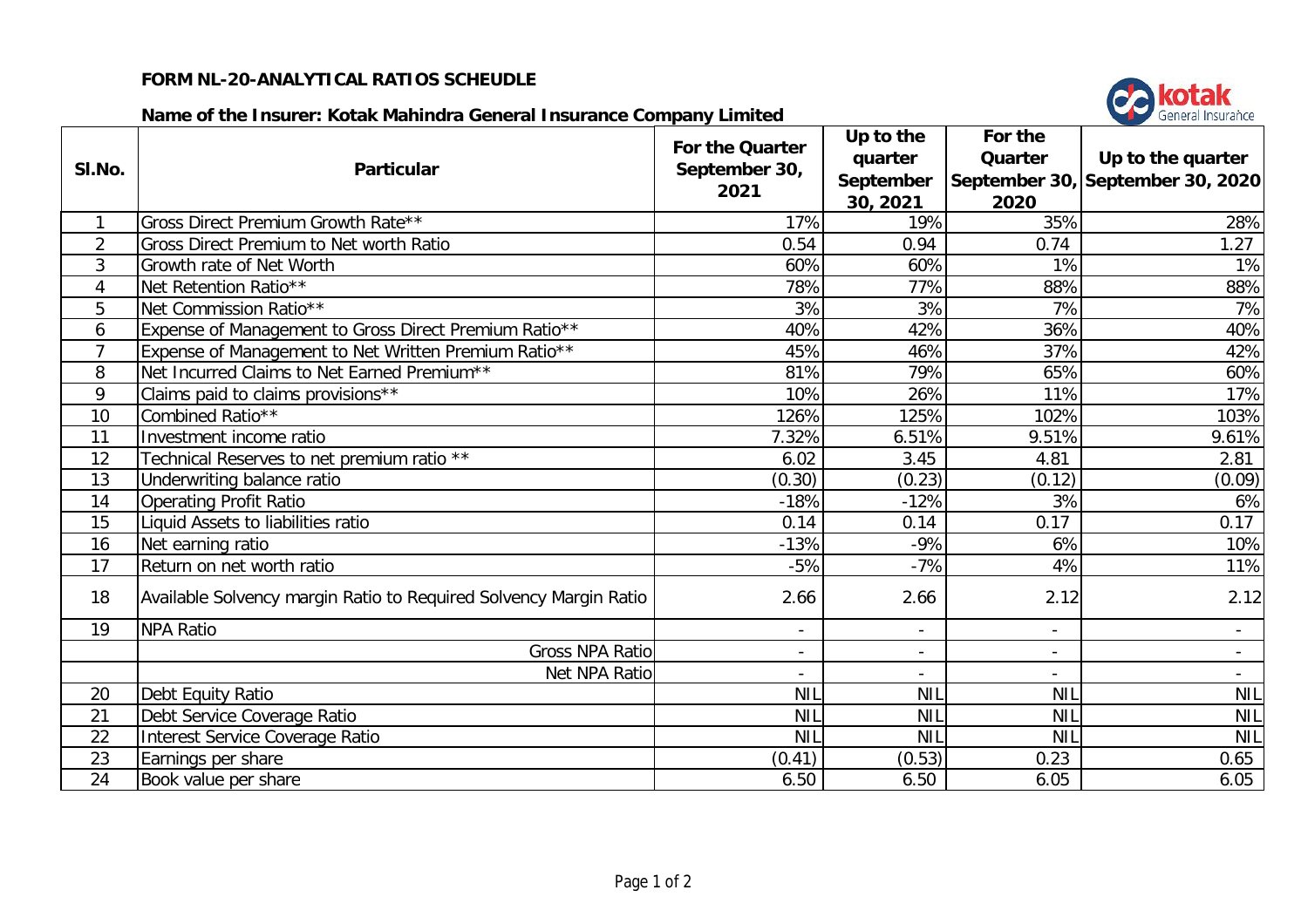## **FORM NL-20-ANALYTICAL RATIOS SCHEUDLE**

## **Name of the Insurer: Kotak Mahindra General Insurance Company Limited**



|                |                                                                   | For the Quarter | Up to the                | For the                  |                                  |
|----------------|-------------------------------------------------------------------|-----------------|--------------------------|--------------------------|----------------------------------|
| SI.No.         | <b>Particular</b>                                                 | September 30,   | quarter                  | Quarter                  | Up to the quarter                |
|                |                                                                   | 2021            | September                |                          | September 30, September 30, 2020 |
|                |                                                                   |                 | 30, 2021                 | 2020                     |                                  |
| $\mathbf{1}$   | Gross Direct Premium Growth Rate**                                | 17%             | 19%                      | 35%                      | 28%                              |
| $\overline{2}$ | Gross Direct Premium to Net worth Ratio                           | 0.54            | 0.94                     | 0.74                     | 1.27                             |
| 3              | Growth rate of Net Worth                                          | 60%             | 60%                      | 1%                       | 1%                               |
| $\overline{4}$ | Net Retention Ratio**                                             | 78%             | 77%                      | 88%                      | 88%                              |
| 5              | Net Commission Ratio**                                            | 3%              | 3%                       | 7%                       | 7%                               |
| 6              | Expense of Management to Gross Direct Premium Ratio**             | 40%             | 42%                      | 36%                      | 40%                              |
| $\overline{7}$ | Expense of Management to Net Written Premium Ratio**              | 45%             | 46%                      | 37%                      | 42%                              |
| 8              | Net Incurred Claims to Net Earned Premium**                       | 81%             | 79%                      | 65%                      | 60%                              |
| 9              | Claims paid to claims provisions**                                | 10%             | 26%                      | 11%                      | 17%                              |
| 10             | Combined Ratio**                                                  | 126%            | 125%                     | 102%                     | 103%                             |
| 11             | Investment income ratio                                           | 7.32%           | 6.51%                    | 9.51%                    | 9.61%                            |
| 12             | Technical Reserves to net premium ratio **                        | 6.02            | 3.45                     | 4.81                     | 2.81                             |
| 13             | Underwriting balance ratio                                        | (0.30)          | (0.23)                   | (0.12)                   | (0.09)                           |
| 14             | Operating Profit Ratio                                            | $-18%$          | $-12%$                   | 3%                       | 6%                               |
| 15             | Liquid Assets to liabilities ratio                                | 0.14            | 0.14                     | 0.17                     | 0.17                             |
| 16             | Net earning ratio                                                 | $-13%$          | $-9%$                    | 6%                       | 10%                              |
| 17             | Return on net worth ratio                                         | $-5%$           | $-7%$                    | 4%                       | 11%                              |
| 18             | Available Solvency margin Ratio to Required Solvency Margin Ratio | 2.66            | 2.66                     | 2.12                     | 2.12                             |
| 19             | <b>NPA Ratio</b>                                                  | $\sim$          | $\overline{\phantom{a}}$ | $\overline{\phantom{0}}$ | $\overline{a}$                   |
|                | Gross NPA Ratio                                                   | $\sim$          | $\overline{\phantom{a}}$ | $\overline{\phantom{a}}$ | $\sim$                           |
|                | Net NPA Ratio                                                     | $\sim$          |                          |                          |                                  |
| 20             | Debt Equity Ratio                                                 | <b>NIL</b>      | <b>NIL</b>               | <b>NIL</b>               | <b>NIL</b>                       |
| 21             | Debt Service Coverage Ratio                                       | <b>NIL</b>      | <b>NIL</b>               | <b>NIL</b>               | <b>NIL</b>                       |
| 22             | Interest Service Coverage Ratio                                   | <b>NIL</b>      | <b>NIL</b>               | <b>NIL</b>               | <b>NIL</b>                       |
| 23             | Earnings per share                                                | (0.41)          | (0.53)                   | 0.23                     | 0.65                             |
| 24             | Book value per share                                              | 6.50            | 6.50                     | 6.05                     | 6.05                             |